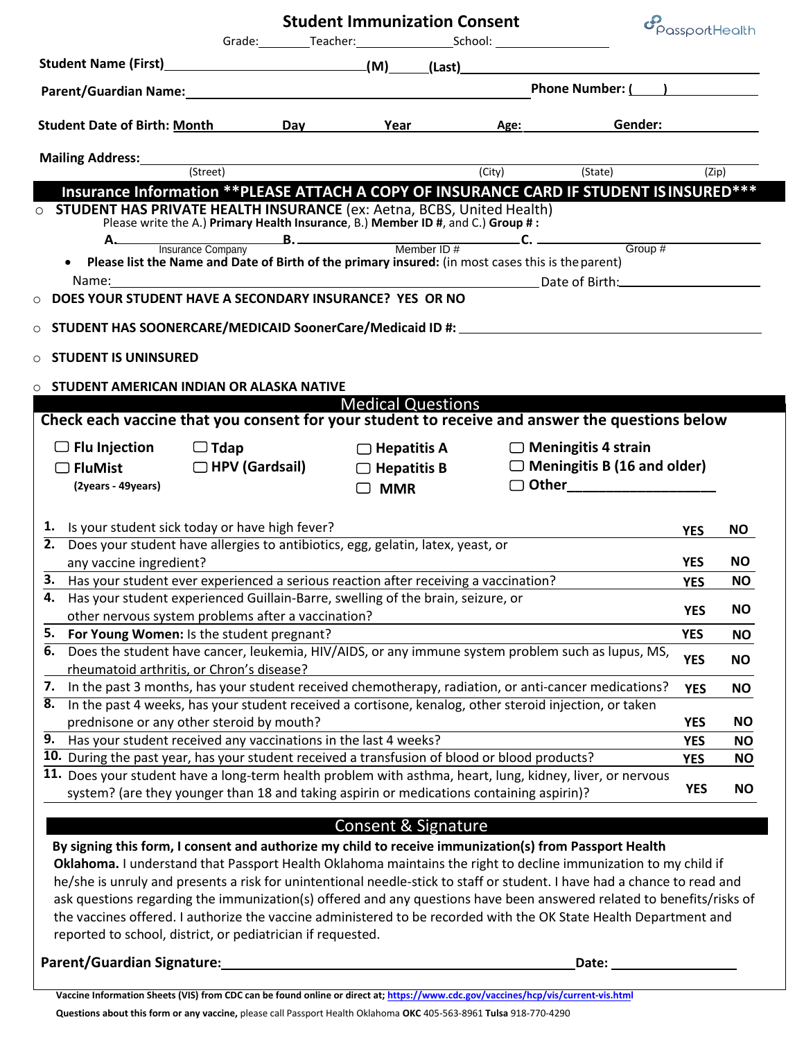|                                                                                                                                                                                                            |  | <b>Student Immunization Consent</b> |  |                                                       | $\mathcal{C}_{\text{PassportHealth}}$ |           |  |
|------------------------------------------------------------------------------------------------------------------------------------------------------------------------------------------------------------|--|-------------------------------------|--|-------------------------------------------------------|---------------------------------------|-----------|--|
|                                                                                                                                                                                                            |  | Grade: Teacher: School: School:     |  |                                                       |                                       |           |  |
|                                                                                                                                                                                                            |  |                                     |  |                                                       |                                       |           |  |
| Parent/Guardian Name: Phone Number: ( )                                                                                                                                                                    |  |                                     |  |                                                       |                                       |           |  |
| Student Date of Birth: Month Day Year Age: Gender: Gender:                                                                                                                                                 |  |                                     |  |                                                       |                                       |           |  |
|                                                                                                                                                                                                            |  |                                     |  |                                                       |                                       |           |  |
| <b>Mailing Address:</b> (Street) (Street) (City) (State) (State) (Zip)                                                                                                                                     |  |                                     |  |                                                       |                                       |           |  |
| Insurance Information ** PLEASE ATTACH A COPY OF INSURANCE CARD IF STUDENT IS INSURED***                                                                                                                   |  |                                     |  |                                                       |                                       |           |  |
| O STUDENT HAS PRIVATE HEALTH INSURANCE (ex: Aetna, BCBS, United Health)<br>Please write the A.) Primary Health Insurance, B.) Member ID #, and C.) Group #:                                                |  |                                     |  |                                                       |                                       |           |  |
|                                                                                                                                                                                                            |  |                                     |  |                                                       |                                       |           |  |
| Please list the Name and Date of Birth of the primary insured: (in most cases this is the parent)<br>$\bullet$                                                                                             |  |                                     |  |                                                       |                                       |           |  |
|                                                                                                                                                                                                            |  |                                     |  |                                                       |                                       |           |  |
| O DOES YOUR STUDENT HAVE A SECONDARY INSURANCE? YES OR NO                                                                                                                                                  |  |                                     |  |                                                       |                                       |           |  |
|                                                                                                                                                                                                            |  |                                     |  |                                                       |                                       |           |  |
|                                                                                                                                                                                                            |  |                                     |  |                                                       |                                       |           |  |
| $\circ$ STUDENT IS UNINSURED                                                                                                                                                                               |  |                                     |  |                                                       |                                       |           |  |
| STUDENT AMERICAN INDIAN OR ALASKA NATIVE<br>$\circ$                                                                                                                                                        |  |                                     |  |                                                       |                                       |           |  |
| <b>Example 2018</b> Medical Questions                                                                                                                                                                      |  |                                     |  |                                                       |                                       |           |  |
| Check each vaccine that you consent for your student to receive and answer the questions below                                                                                                             |  |                                     |  |                                                       |                                       |           |  |
| $\Box$ Flu Injection $\Box$ Tdap                                                                                                                                                                           |  | $\Box$ Hepatitis A                  |  | $\Box$ Meningitis 4 strain                            |                                       |           |  |
| □ FluMist □ HPV (Gardsail)                                                                                                                                                                                 |  |                                     |  | $\Box$ Hepatitis B $\Box$ Meningitis B (16 and older) |                                       |           |  |
| (2years - 49years)                                                                                                                                                                                         |  |                                     |  |                                                       |                                       |           |  |
|                                                                                                                                                                                                            |  | $\Box$ MMR                          |  |                                                       |                                       |           |  |
|                                                                                                                                                                                                            |  |                                     |  |                                                       |                                       |           |  |
| 1. Is your student sick today or have high fever?<br>2. Does your student have allergies to antibiotics, egg, gelatin, latex, yeast, or                                                                    |  |                                     |  |                                                       | <b>YES</b>                            | NO.       |  |
| any vaccine ingredient?                                                                                                                                                                                    |  |                                     |  |                                                       | <b>YES</b>                            | <b>NO</b> |  |
| 3. Has your student ever experienced a serious reaction after receiving a vaccination?                                                                                                                     |  |                                     |  |                                                       | <b>YES</b>                            | <b>NO</b> |  |
| 4. Has your student experienced Guillain-Barre, swelling of the brain, seizure, or                                                                                                                         |  |                                     |  |                                                       |                                       |           |  |
| other nervous system problems after a vaccination?                                                                                                                                                         |  |                                     |  |                                                       | <b>YES</b>                            | <b>NO</b> |  |
| 5. For Young Women: Is the student pregnant?                                                                                                                                                               |  |                                     |  |                                                       | <b>YES</b>                            | <b>NO</b> |  |
| Does the student have cancer, leukemia, HIV/AIDS, or any immune system problem such as lupus, MS,<br>6.                                                                                                    |  |                                     |  |                                                       | <b>YES</b>                            | <b>NO</b> |  |
| rheumatoid arthritis, or Chron's disease?                                                                                                                                                                  |  |                                     |  |                                                       |                                       |           |  |
| In the past 3 months, has your student received chemotherapy, radiation, or anti-cancer medications?<br>7.                                                                                                 |  |                                     |  |                                                       | <b>YES</b>                            | <b>NO</b> |  |
| In the past 4 weeks, has your student received a cortisone, kenalog, other steroid injection, or taken<br>8.                                                                                               |  |                                     |  |                                                       |                                       |           |  |
| prednisone or any other steroid by mouth?                                                                                                                                                                  |  |                                     |  |                                                       | <b>YES</b>                            | <b>NO</b> |  |
| 9.<br>Has your student received any vaccinations in the last 4 weeks?                                                                                                                                      |  |                                     |  |                                                       | <b>YES</b>                            | <b>NO</b> |  |
| 10. During the past year, has your student received a transfusion of blood or blood products?<br>11. Does your student have a long-term health problem with asthma, heart, lung, kidney, liver, or nervous |  |                                     |  |                                                       | <b>YES</b>                            | <b>NO</b> |  |
| system? (are they younger than 18 and taking aspirin or medications containing aspirin)?                                                                                                                   |  |                                     |  |                                                       | <b>YES</b>                            | <b>NO</b> |  |
|                                                                                                                                                                                                            |  |                                     |  |                                                       |                                       |           |  |
|                                                                                                                                                                                                            |  | Consent & Signature                 |  |                                                       |                                       |           |  |
| By signing this form, I consent and authorize my child to receive immunization(s) from Passport Health                                                                                                     |  |                                     |  |                                                       |                                       |           |  |
| Oklahoma. I understand that Passport Health Oklahoma maintains the right to decline immunization to my child if                                                                                            |  |                                     |  |                                                       |                                       |           |  |
| he/she is unruly and presents a risk for unintentional needle-stick to staff or student. I have had a chance to read and                                                                                   |  |                                     |  |                                                       |                                       |           |  |
| ask questions regarding the immunization(s) offered and any questions have been answered related to benefits/risks of                                                                                      |  |                                     |  |                                                       |                                       |           |  |
| the vaccines offered. I authorize the vaccine administered to be recorded with the OK State Health Department and                                                                                          |  |                                     |  |                                                       |                                       |           |  |
| reported to school, district, or pediatrician if requested.                                                                                                                                                |  |                                     |  |                                                       |                                       |           |  |
| Parent/Guardian Signature:                                                                                                                                                                                 |  |                                     |  | Date:                                                 |                                       |           |  |
|                                                                                                                                                                                                            |  |                                     |  |                                                       |                                       |           |  |

**Vaccine Information Sheets (VIS) from CDC can be found online or direct at; https://[www.cdc.gov/vaccines/hcp/vis/current-vis.html](http://www.cdc.gov/vaccines/hcp/vis/current-vis.html)** 

**Questions about this form or any vaccine,** please call Passport Health Oklahoma **OKC** 405-563-8961 **Tulsa** 918-770-4290